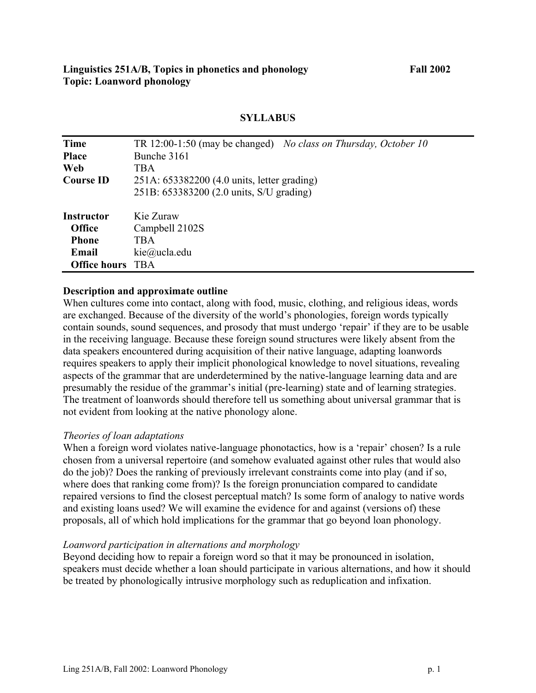| <b>Time</b>         | TR 12:00-1:50 (may be changed) No class on Thursday, October 10 |
|---------------------|-----------------------------------------------------------------|
| <b>Place</b>        | Bunche 3161                                                     |
| <b>Web</b>          | <b>TBA</b>                                                      |
| <b>Course ID</b>    | 251A: 653382200 (4.0 units, letter grading)                     |
|                     | 251B: 653383200 (2.0 units, S/U grading)                        |
| Instructor          | Kie Zuraw                                                       |
| <b>Office</b>       | Campbell 2102S                                                  |
| <b>Phone</b>        | <b>TBA</b>                                                      |
| Email               | kie@ucla.edu                                                    |
| <b>Office hours</b> | TBA                                                             |

## **SYLLABUS**

### **Description and approximate outline**

When cultures come into contact, along with food, music, clothing, and religious ideas, words are exchanged. Because of the diversity of the world's phonologies, foreign words typically contain sounds, sound sequences, and prosody that must undergo 'repair' if they are to be usable in the receiving language. Because these foreign sound structures were likely absent from the data speakers encountered during acquisition of their native language, adapting loanwords requires speakers to apply their implicit phonological knowledge to novel situations, revealing aspects of the grammar that are underdetermined by the native-language learning data and are presumably the residue of the grammar's initial (pre-learning) state and of learning strategies. The treatment of loanwords should therefore tell us something about universal grammar that is not evident from looking at the native phonology alone.

### *Theories of loan adaptations*

When a foreign word violates native-language phonotactics, how is a 'repair' chosen? Is a rule chosen from a universal repertoire (and somehow evaluated against other rules that would also do the job)? Does the ranking of previously irrelevant constraints come into play (and if so, where does that ranking come from)? Is the foreign pronunciation compared to candidate repaired versions to find the closest perceptual match? Is some form of analogy to native words and existing loans used? We will examine the evidence for and against (versions of) these proposals, all of which hold implications for the grammar that go beyond loan phonology.

### *Loanword participation in alternations and morphology*

Beyond deciding how to repair a foreign word so that it may be pronounced in isolation, speakers must decide whether a loan should participate in various alternations, and how it should be treated by phonologically intrusive morphology such as reduplication and infixation.